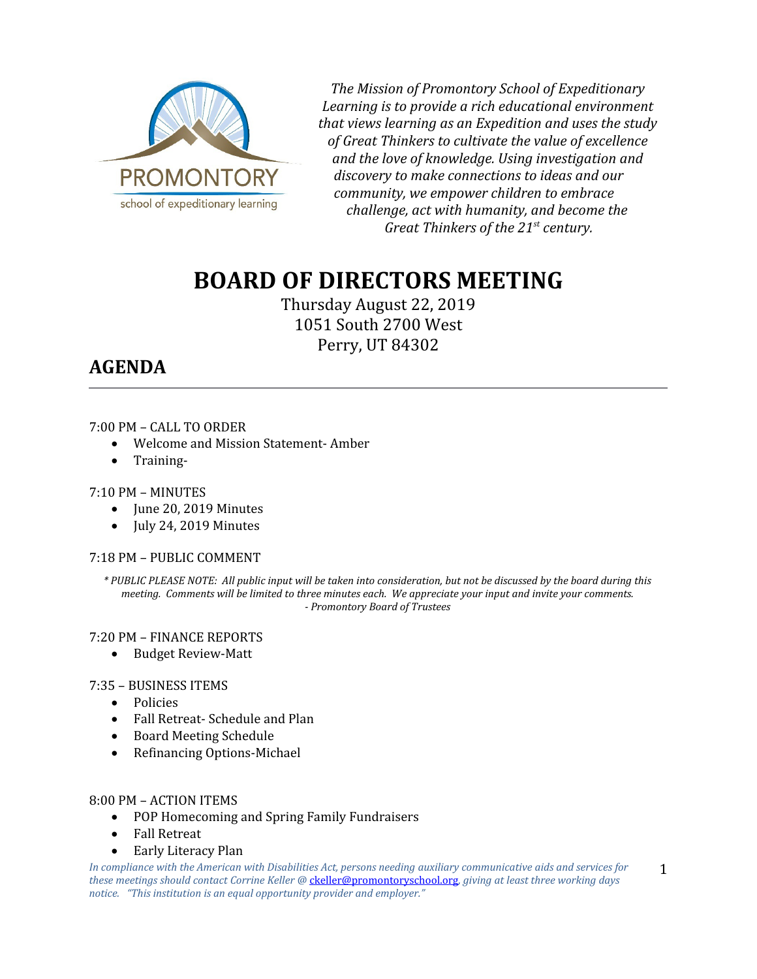

*The Mission of Promontory School of Expeditionary Learning is to provide a rich educational environment that views learning as an Expedition and uses the study of Great Thinkers to cultivate the value of excellence and the love of knowledge. Using investigation and discovery to make connections to ideas and our community, we empower children to embrace challenge, act with humanity, and become the Great Thinkers of the 21st century.*

# **BOARD OF DIRECTORS MEETING**

Thursday August 22, 2019 1051 South 2700 West Perry, UT 84302

## **AGENDA**

#### 7:00 PM – CALL TO ORDER

- Welcome and Mission Statement- Amber
- Training-

#### 7:10 PM – MINUTES

- June 20, 2019 Minutes
- $\bullet$  July 24, 2019 Minutes

#### 7:18 PM – PUBLIC COMMENT

*\* PUBLIC PLEASE NOTE: All public input will be taken into consideration, but not be discussed by the board during this meeting. Comments will be limited to three minutes each. We appreciate your input and invite your comments. - Promontory Board of Trustees*

#### 7:20 PM – FINANCE REPORTS

• Budget Review-Matt

#### 7:35 – BUSINESS ITEMS

- Policies
- Fall Retreat- Schedule and Plan
- Board Meeting Schedule
- Refinancing Options-Michael

#### 8:00 PM – ACTION ITEMS

- POP Homecoming and Spring Family Fundraisers
- Fall Retreat
- Early Literacy Plan

*In compliance with the American with Disabilities Act, persons needing auxiliary communicative aids and services for these meetings should contact Corrine Keller @* [ckeller@promontoryschool.org](mailto:ckeller@promontoryschool.org)*, giving at least three working days notice. "This institution is an equal opportunity provider and employer."*

1